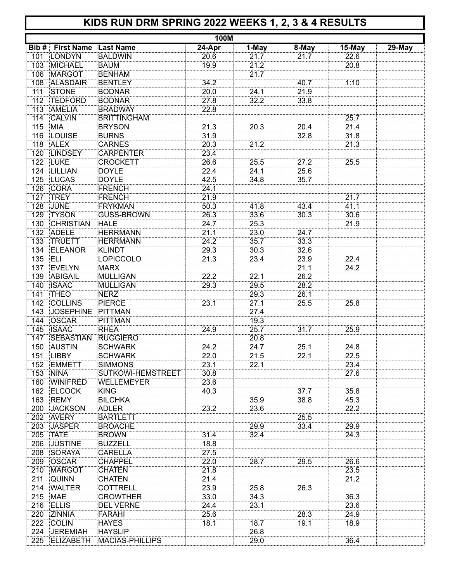## **KIDS RUN DRM SPRING 2022 WEEKS 1, 2, 3 & 4 RESULTS**

| <b>100M</b> |                             |                          |        |                   |       |        |                      |
|-------------|-----------------------------|--------------------------|--------|-------------------|-------|--------|----------------------|
| Bib #       | <b>First Name Last Name</b> |                          | 24-Apr | 1-May             | 8-May | 15-May | $\overline{2}9$ -May |
|             | 101 LONDYN                  | <b>BALDWIN</b>           | 20.6   | 21.7              | 21.7  | 22.6   |                      |
| 103         | <b>MICHAEL</b>              | <b>BAUM</b>              | 19.9   | 21.2              |       | 20.8   |                      |
| 106         | <b>MARGOT</b>               | <b>BENHAM</b>            |        | 21.7              |       |        |                      |
| 108         | <b>ALASDAIR</b>             | <b>BENTLEY</b>           | 34.2   |                   | 40.7  | 1:10   |                      |
| 111         | <b>STONE</b>                | <b>BODNAR</b>            | 20.0   | 24.1              | 21.9  |        |                      |
| 112         | <b>TEDFORD</b>              | <b>BODNAR</b>            | 27.8   | 32.2              | 33.8  |        |                      |
| 113         | AMELIA                      | <b>BRADWAY</b>           | 22.8   |                   |       |        |                      |
| 114         | <b>CALVIN</b>               | <b>BRITTINGHAM</b>       |        |                   |       | 25.7   |                      |
| 115         | <b>MIA</b>                  | <b>BRYSON</b>            | 21.3   | 20.3              | 20.4  | 21.4   |                      |
| 116         | <b>LOUISE</b>               | <b>BURNS</b>             | 31.9   |                   | 32.8  | 31.8   |                      |
| 118         | <b>ALEX</b>                 | <b>CARNES</b>            | 20.3   | 21.2              |       | 21.3   |                      |
|             | 120 LINDSEY                 | <b>CARPENTER</b>         | 23.4   |                   |       |        |                      |
|             | 122 LUKE                    | <b>CROCKETT</b>          | 26.6   | 25.5              | 27.2  | 25.5   |                      |
|             | 124 LILLIAN                 | <b>DOYLE</b>             | 22.4   | 24.1              | 25.6  |        |                      |
|             | 125 LUCAS                   | <b>DOYLE</b>             | 42.5   |                   |       |        |                      |
|             |                             |                          |        | 34.8              | 35.7  |        |                      |
| 126         | <b>CORA</b>                 | <b>FRENCH</b>            | 24.1   |                   |       |        |                      |
| 127         | <b>TREY</b>                 | <b>FRENCH</b>            | 21.9   |                   |       | 21.7   |                      |
| 128         | <b>JUNE</b>                 | <b>FRYKMAN</b>           | 50.3   | 41.8              | 43.4  | 41.1   |                      |
| 129         | <b>TYSON</b>                | <b>GUSS-BROWN</b>        | 26.3   | 33.6              | 30.3  | 30.6   |                      |
| 130         | <b>CHRISTIAN</b>            | HALE                     | 24.7   | 25.3              |       | 21.9   |                      |
| 132         | <b>ADELE</b>                | <b>HERRMANN</b>          | 21.1   | 23.0              | 24.7  |        |                      |
| 133         | <b>TRUETT</b>               | <b>HERRMANN</b>          | 24.2   | 35.7              | 33.3  |        |                      |
| 134         | <b>ELEANOR</b>              | <b>KLINDT</b>            | 29.3   | 30.3              | 32.6  |        |                      |
| 135 ELI     |                             | LOPICCOLO                | 21.3   | 23.4              | 23.9  | 22.4   |                      |
| 137         | <b>EVELYN</b>               | MARX                     |        |                   | 21.1  | 24.2   |                      |
| 139         | ABIGAIL                     | MULLIGAN                 | 22.2   | 22.1              | 26.2  |        |                      |
| 140         | <b>ISAAC</b>                | MULLIGAN                 | 29.3   | 29.5              | 28.2  |        |                      |
| 141         | <b>THEO</b>                 | <b>NERZ</b>              |        | 29.3              | 26.1  |        |                      |
| 142         | <b>COLLINS</b>              | <b>PIERCE</b>            | 23.1   | 27.1              | 25.5  | 25.8   |                      |
| 143         | <b>JOSEPHINE</b>            | PITTMAN                  |        | 27.4              |       |        |                      |
| 144         | <b>OSCAR</b>                | <b>PITTMAN</b>           |        | 19.3              |       |        |                      |
| 145         | <b>ISAAC</b>                | <b>RHEA</b>              | 24.9   | 25.7              | 31.7  | 25.9   |                      |
| 147         | <b>SEBASTIAN</b>            | <b>RUGGIERO</b>          |        | 20.8              |       |        |                      |
| 150         | <b>AUSTIN</b>               | <b>SCHWARK</b>           | 24.2   | 24.7              | 25.1  | 24.8   |                      |
|             | 151 LIBBY                   | <b>SCHWARK</b>           | 22.0   | 21.5              | 22.1  | 22.5   |                      |
|             | 152 EMMETT                  | SIMMONS                  | 23.1   | 22.1              |       | 23.4   |                      |
| 153         | <b>NINA</b>                 | <b>SUTKOWI-HEMSTREET</b> | 30.8   |                   |       | 27.6   |                      |
| 160         | <b>WINIFRED</b>             | <b>WELLEMEYER</b>        | 23.6   |                   |       |        |                      |
| 162         | <b>ELCOCK</b>               | KING                     | 40.3   |                   | 37.7  | 35.8   |                      |
| 163         | <b>REMY</b>                 | <b>BILCHKA</b>           |        | 35.9              | 38.8  | 45.3   |                      |
| 200         | <b>JACKSON</b>              | ADLER                    | 23.2   | 23.6              |       | 22.2   |                      |
| 202         | <b>AVERY</b>                | <b>BARTLETT</b>          |        |                   | 25.5  |        |                      |
| 203         | <b>JASPER</b>               | <b>BROACHE</b>           |        | 29.9              | 33.4  | 29.9   |                      |
| 205         | <b>TATE</b>                 | <b>BROWN</b>             | 31.4   | 32.4              |       |        |                      |
| 206         | <b>JUSTINE</b>              |                          |        |                   |       | 24.3   |                      |
|             |                             | <b>BUZZELL</b>           | 18.8   |                   |       |        |                      |
| 208         | SORAYA                      | <b>CARELLA</b>           | 27.5   |                   |       |        |                      |
| 209         | <b>OSCAR</b>                | <b>CHAPPEL</b>           | 22.0   | 28.7              | 29.5  | 26.6   |                      |
| 210         | <b>MARGOT</b>               | <b>CHATEN</b>            | 21.8   |                   |       | 23.5   |                      |
| 211         | <b>QUINN</b>                | <b>CHATEN</b>            | 21.4   |                   |       | 21.2   |                      |
| 214         | <b>WALTER</b>               | <b>COTTRELL</b>          | 23.9   | $25.\overline{8}$ | 26.3  |        |                      |
| 215         | <b>MAE</b>                  | <b>CROWTHER</b>          | 33.0   | 34.3              |       | 36.3   |                      |
| 216         | <b>ELLIS</b>                | <b>DEL VERNE</b>         | 24.4   | 23.1              |       | 23.6   |                      |
| 220         | ZINNIA                      | FARAHI                   | 25.6   |                   | 28.3  | 24.9   |                      |
| 222         | <b>COLIN</b>                | <b>HAYES</b>             | 18.1   | 18.7              | 19.1  | 18.9   |                      |
| 224         | <b>JEREMIAH</b>             | <b>HAYSLIP</b>           |        | 26.8              |       |        |                      |
| 225         | <b>ELIZABETH</b>            | MACIAS-PHILLIPS          |        | 29.0              |       | 36.4   |                      |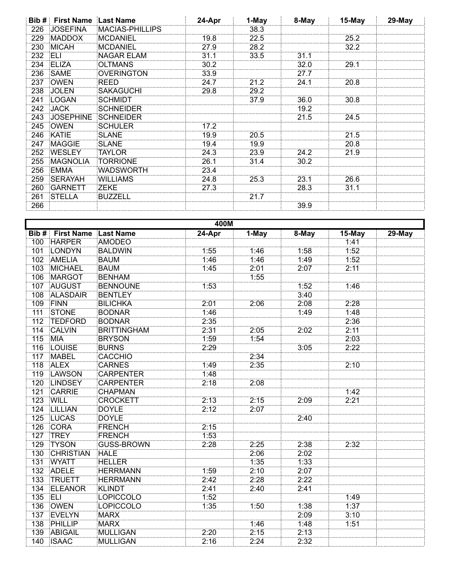|     | <b>Bib # First Name</b> | <b>⊧Last Name</b> | 24-Apr | 1-May | 8-May | $15$ -May | $29$ -May |
|-----|-------------------------|-------------------|--------|-------|-------|-----------|-----------|
| 226 | <b>JOSEFINA</b>         | MACIAS-PHILLIPS!  |        | 38.3  |       |           |           |
| 229 | <b>MADDOX</b>           | MCDANIEL          | 19.8   | 22.5  |       | 25.2      |           |
| 230 | <b>MICAH</b>            | MCDANIEL          | 27.9   | 28.2  |       | 32.2      |           |
| 232 | ELI                     | NAGAR ELAM        | 31.1   | 33.5  | 31.1  |           |           |
| 234 | ELIZA                   | <b>OLTMANS</b>    | 30.2   |       | 32.0  | 29.1      |           |
| 236 | <b>SAME</b>             | OVERINGTON        | 33.9   |       | 27.7  |           |           |
| 237 | <b>OWEN</b>             | REED              | 24.7   | 21.2  | 24.1  | 20.8      |           |
| 238 | <b>JOLEN</b>            | SAKAGUCHI         | 29.8   | 29.2  |       |           |           |
| 241 | LOGAN                   | SCHMIDT           |        | 37.9  | 36.0  | 30.8      |           |
| 242 | <b>JACK</b>             | SCHNEIDER         |        |       | 19.2  |           |           |
| 243 | <b>JOSEPHINE</b>        | SCHNEIDER         |        |       | 21.5  | 24.5      |           |
| 245 | <b>OWEN</b>             | SCHULER           | 17.2   |       |       |           |           |
| 246 | KATIE                   | SLANE             | 19.9   | 20.5  |       | 21.5      |           |
| 247 | <b>MAGGIE</b>           | SLANE             | 19.4   | 19.9  |       | 20.8      |           |
| 252 | <b>WESLEY</b>           | <b>TAYLOR</b>     | 24.3   | 23.9  | 24.2  | 21.9      |           |
| 255 | <b>MAGNOLIA</b>         | <b>TORRIONE</b>   | 26.1   | 31.4  | 30.2  |           |           |
| 256 | EMMA                    | WADSWORTH         | 23.4   |       |       |           |           |
| 259 | <b>SERAYAH</b>          | <b>WILLIAMS</b>   | 24.8   | 25.3  | 23.1  | 26.6      |           |
| 260 | GARNETT                 | ZEKE              | 27.3   |       | 28.3  | 31.1      |           |
| 261 | <b>STELLA</b>           | <b>BUZZELL</b>    |        | 21.7  |       |           |           |
| 266 |                         |                   |        |       | 39.9  |           |           |

|                  | 400M              |                    |          |       |       |        |        |  |  |
|------------------|-------------------|--------------------|----------|-------|-------|--------|--------|--|--|
| Bib #            | <b>First Name</b> | Last Name          | $24-Apr$ | 1-May | 8-May | 15-May | 29-May |  |  |
| 100              | <b>HARPER</b>     | AMODEO             |          |       |       | 1:41   |        |  |  |
| 101              | LONDYN            | <b>BALDWIN</b>     | 1:55     | 1:46  | 1:58  | 1:52   |        |  |  |
| 102              | <b>AMELIA</b>     | <b>BAUM</b>        | 1:46     | 1:46  | 1:49  | 1:52   |        |  |  |
| 103              | <b>MICHAEL</b>    | <b>BAUM</b>        | 1:45     | 2:01  | 2:07  | 2:11   |        |  |  |
| 106              | <b>MARGOT</b>     | <b>BENHAM</b>      |          | 1:55  |       |        |        |  |  |
| 107              | <b>AUGUST</b>     | <b>BENNOUNE</b>    | 1:53     |       | 1:52  | 1:46   |        |  |  |
| 108              | ALASDAIR          | <b>BENTLEY</b>     |          |       | 3:40  |        |        |  |  |
| 109              | <b>FINN</b>       | <b>BILICHKA</b>    | 2:01     | 2:06  | 2:08  | 2:28   |        |  |  |
| 111              | <b>STONE</b>      | <b>BODNAR</b>      | 1:46     |       | 1:49  | 1:48   |        |  |  |
| $\overline{112}$ | <b>TEDFORD</b>    | <b>BODNAR</b>      | 2:35     |       |       | 2:36   |        |  |  |
| 114              | <b>CALVIN</b>     | <b>BRITTINGHAM</b> | 2:31     | 2:05  | 2:02  | 2:11   |        |  |  |
| 115              | <b>MIA</b>        | <b>BRYSON</b>      | 1:59     | 1:54  |       | 2:03   |        |  |  |
| 116              | LOUISE            | <b>BURNS</b>       | 2:29     |       | 3:05  | 2:22   |        |  |  |
| 117              | <b>MABEL</b>      | <b>CACCHIO</b>     |          | 2:34  |       |        |        |  |  |
| 118              | <b>ALEX</b>       | <b>CARNES</b>      | 1:49     | 2:35  |       | 2:10   |        |  |  |
| 119              | LAWSON            | CARPENTER          | 1:48     |       |       |        |        |  |  |
| 120              | LINDSEY           | <b>CARPENTER</b>   | 2:18     | 2:08  |       |        |        |  |  |
| 121              | CARRIE            | <b>CHAPMAN</b>     |          |       |       | 1:42   |        |  |  |
| 123              | WILL              | <b>CROCKETT</b>    | 2:13     | 2:15  | 2:09  | 2:21   |        |  |  |
| 124              | LILLIAN           | <b>DOYLE</b>       | 2:12     | 2:07  |       |        |        |  |  |
| 125              | <b>LUCAS</b>      | <b>DOYLE</b>       |          |       | 2:40  |        |        |  |  |
| 126              | <b>CORA</b>       | FRENCH             | 2:15     |       |       |        |        |  |  |
| 127              | <b>TREY</b>       | FRENCH             | 1:53     |       |       |        |        |  |  |
| 129              | <b>TYSON</b>      | <b>GUSS-BROWN</b>  | 2:28     | 2:25  | 2:38  | 2:32   |        |  |  |
| 130              | <b>CHRISTIAN</b>  | <b>HALE</b>        |          | 2:06  | 2:02  |        |        |  |  |
| 131              | <b>WYATT</b>      | <b>HELLER</b>      |          | 1:35  | 1:33  |        |        |  |  |
| 132              | ADELE             | <b>HERRMANN</b>    | 1:59     | 2:10  | 2:07  |        |        |  |  |
| 133              | <b>TRUETT</b>     | <b>HERRMANN</b>    | 2:42     | 2:28  | 2:22  |        |        |  |  |
| 134              | <b>ELEANOR</b>    | <b>KLINDT</b>      | 2:41     | 2:40  | 2:41  |        |        |  |  |
| 135              | <b>ELI</b>        | LOPICCOLO          | 1:52     |       |       | 1:49   |        |  |  |
| 136              | <b>OWEN</b>       | LOPICCOLO          | 1:35     | 1:50  | 1:38  | 1:37   |        |  |  |
| 137              | <b>EVELYN</b>     | MARX               |          |       | 2:09  | 3:10   |        |  |  |
| 138              | PHILLIP           | MARX               |          | 1:46  | 1:48  | 1:51   |        |  |  |
| 139              | <b>ABIGAIL</b>    | MULLIGAN           | 2:20     | 2:15  | 2:13  |        |        |  |  |
|                  | 140 ISAAC         | MULLIGAN           | 2:16     | 2:24  | 2:32  |        |        |  |  |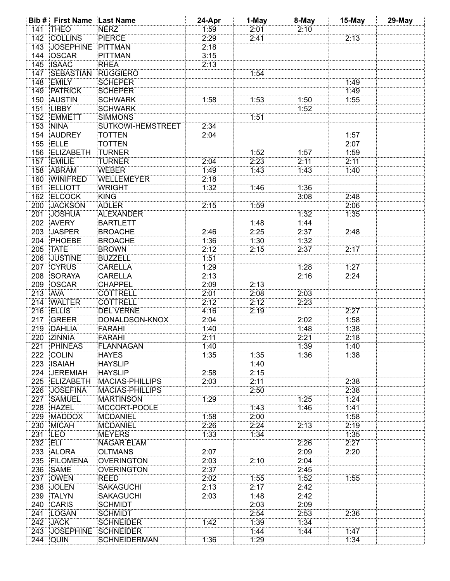|                  | <b>Bib # First Name Last Name</b> |                          | 24-Apr | 1-May | 8-May | 15-May | 29-May |
|------------------|-----------------------------------|--------------------------|--------|-------|-------|--------|--------|
| 141              | <b>THEO</b>                       | <b>NERZ</b>              | 1:59   | 2:01  | 2:10  |        |        |
| 142              | <b>COLLINS</b>                    | <b>PIERCE</b>            | 2:29   | 2:41  |       | 2:13   |        |
| 143              | <b>JOSEPHINE</b>                  | PITTMAN                  | 2:18   |       |       |        |        |
| 144              | <b>OSCAR</b>                      | PITTMAN                  | 3:15   |       |       |        |        |
| 145              | <b>ISAAC</b>                      | <b>RHEA</b>              | 2:13   |       |       |        |        |
| 147              | <b>SEBASTIAN</b>                  | <b>RUGGIERO</b>          |        | 1:54  |       |        |        |
| 148              | <b>EMILY</b>                      | <b>SCHEPER</b>           |        |       |       | 1:49   |        |
| 149              | <b>PATRICK</b>                    | <b>SCHEPER</b>           |        |       |       | 1:49   |        |
| 150              | <b>AUSTIN</b>                     | <b>SCHWARK</b>           | 1:58   | 1:53  | 1:50  | 1:55   |        |
| 151              | <b>LIBBY</b>                      |                          |        |       | 1:52  |        |        |
|                  |                                   | <b>SCHWARK</b>           |        | 1:51  |       |        |        |
| 152              | EMMETT                            | <b>SIMMONS</b>           |        |       |       |        |        |
| $\overline{153}$ | <b>NINA</b>                       | <b>SUTKOWI-HEMSTREET</b> | 2:34   |       |       |        |        |
| 154              | <b>AUDREY</b>                     | <b>TOTTEN</b>            | 2:04   |       |       | 1:57   |        |
| 155              | ELLE                              | <b>TOTTEN</b>            |        |       |       | 2:07   |        |
| 156              | <b>ELIZABETH</b>                  | <b>TURNER</b>            |        | 1:52  | 1:57  | 1:59   |        |
| 157              | <b>EMILIE</b>                     | <b>TURNER</b>            | 2:04   | 2:23  | 2:11  | 2:11   |        |
| 158              | ABRAM                             | <b>WEBER</b>             | 1:49   | 1.43  | 1:43  | 1:40   |        |
| 160              | <b>WINIFRED</b>                   | WELLEMEYER               | 2:18   |       |       |        |        |
| 161              | <b>ELLIOTT</b>                    | WRIGHT                   | 1:32   | 1:46  | 1:36  |        |        |
| 162              | <b>ELCOCK</b>                     | <b>KING</b>              |        |       | 3:08  | 2:48   |        |
| 200              | <b>JACKSON</b>                    | <b>ADLER</b>             | 2:15   | 1:59  |       | 2:06   |        |
| 201              | <b>JOSHUA</b>                     | <b>ALEXANDER</b>         |        |       | 1:32  | 1:35   |        |
| 202              | <b>AVERY</b>                      | <b>BARTLETT</b>          |        | 1.48  | 1:44  |        |        |
| 203              | <b>JASPER</b>                     | <b>BROACHE</b>           | 2:46   | 2:25  | 2:37  | 2:48   |        |
| 204              | PHOEBE                            | <b>BROACHE</b>           | 1:36   | 1:30  | 1:32  |        |        |
| 205              | <b>TATE</b>                       | <b>BROWN</b>             |        | 2:15  | 2:37  | 2:17   |        |
|                  |                                   |                          | 2:12   |       |       |        |        |
| 206              | <b>JUSTINE</b>                    | <b>BUZZELL</b>           | 1:51   |       |       |        |        |
| 207              | <b>CYRUS</b>                      | <b>CARELLA</b>           | 1:29   |       | 1:28  | 1:27   |        |
| 208              | SORAYA                            | <b>CARELLA</b>           | 2:13   |       | 2:16  | 2:24   |        |
| 209              | <b>OSCAR</b>                      | <b>CHAPPEL</b>           | 2:09   | 2:13  |       |        |        |
| 213              | <b>AVA</b>                        | <b>COTTRELL</b>          | 2:01   | 2:08  | 2:03  |        |        |
| 214              | <b>WALTER</b>                     | <b>COTTRELL</b>          | 2:12   | 2:12  | 2:23  |        |        |
| 216              | <b>ELLIS</b>                      | <b>DEL VERNE</b>         | 4:16   | 2:19  |       | 2:27   |        |
| 217              | GREER                             | <b>DONALDSON-KNOX</b>    | 2:04   |       | 2:02  | 1:58   |        |
| 219              | <b>DAHLIA</b>                     | <b>FARAHI</b>            | 1:40   |       | 1:48  | 1:38   |        |
| 220              | ZINNIA                            | <b>FARAHI</b>            | 2:11   |       | 2:21  | 2:18   |        |
|                  | 221 PHINEAS                       | <b>FLANNAGAN</b>         | 1:40   |       | 1:39  | 1:40   |        |
|                  | 222 COLIN                         | <b>HAYES</b>             | 1:35   | 1:35  | 1:36  | 1:38   |        |
| 223              | <b>ISAIAH</b>                     | <b>HAYSLIP</b>           |        | 1:40  |       |        |        |
|                  | 224 JEREMIAH                      | <b>HAYSLIP</b>           | 2:58   | 2:15  |       |        |        |
|                  | 225 ELIZABETH                     | MACIAS-PHILLIPS          | 2:03   | 2:11  |       | 2:38   |        |
|                  |                                   |                          |        |       |       |        |        |
|                  | 226 JOSEFINA                      | <b>MACIAS-PHILLIPS</b>   |        | 2:50  |       | 2:38   |        |
|                  | 227 SAMUEL                        | <b>MARTINSON</b>         | 1:29   |       | 1:25  | 1:24   |        |
|                  | 228 HAZEL                         | MCCORT-POOLE             |        | 1:43  | 1:46  | 1:41   |        |
| 229              | <b>MADDOX</b>                     | <b>MCDANIEL</b>          | 1:58   | 2:00  |       | 1:58   |        |
| 230              | <b>MICAH</b>                      | <b>MCDANIEL</b>          | 2:26   | 2:24  | 2:13  | 2:19   |        |
| 231 LEO          |                                   | <b>MEYERS</b>            | 1:33   | 1:34  |       | 1:35   |        |
| 232 ELI          |                                   | <b>NAGAR ELAM</b>        |        |       | 2:26  | 2:27   |        |
|                  | 233 ALORA                         | <b>OLTMANS</b>           | 2:07   |       | 2:09  | 2:20   |        |
|                  | 235 FILOMENA                      | <b>OVERINGTON</b>        | 2:03   | 2:10  | 2:04  |        |        |
|                  | 236 SAME                          | <b>OVERINGTON</b>        | 2:37   |       | 2:45  |        |        |
|                  | 237 OWEN                          | <b>REED</b>              | 2:02   | 1:55  | 1:52  | 1:55   |        |
| 238              | <b>JOLEN</b>                      | <b>SAKAGUCHI</b>         | 2:13   | 2:17  | 2:42  |        |        |
| 239              | <b>TALYN</b>                      | <b>SAKAGUCHI</b>         | 2:03   | 1:48  | 2:42  |        |        |
| 240              | <b>CARIS</b>                      | <b>SCHMIDT</b>           |        | 2:03  | 2:09  |        |        |
|                  | 241 LOGAN                         | <b>SCHMIDT</b>           |        | 2:54  | 2:53  | 2:36   |        |
|                  | 242 JACK                          |                          |        |       |       |        |        |
|                  |                                   | <b>SCHNEIDER</b>         | 1:42   | 1:39  | 1:34  |        |        |
|                  | 243 JOSEPHINE SCHNEIDER           |                          |        | 1:44  | 1:44  | 1:47   |        |
| 244              | <b>QUIN</b>                       | <b>SCHNEIDERMAN</b>      | 1:36   | 1:29  |       | 1:34   |        |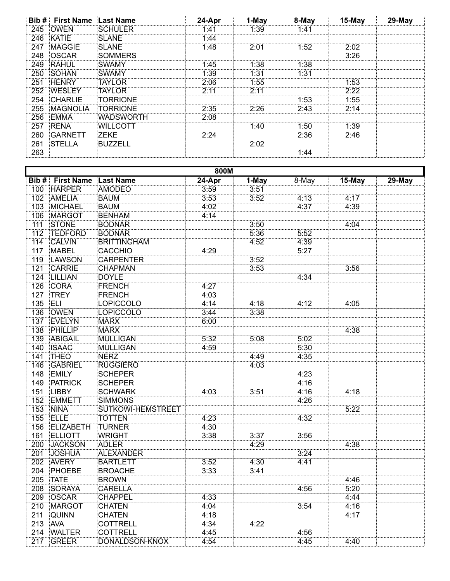|     | <b>Bib # First Name Last Name</b> |                  | 24-Apr | 1-May | 8-May | 15-May | 29-May |
|-----|-----------------------------------|------------------|--------|-------|-------|--------|--------|
| 245 | <b>OWEN</b>                       | SCHULER          | 1 41   | l 39  | 1.41  |        |        |
| 246 | KATIE                             | <b>SLANE</b>     | l 44   |       |       |        |        |
| 247 | <b>MAGGIE</b>                     | <b>SLANE</b>     | 1:48   | 2:01  | 1:52  | 2:02   |        |
| 248 | <b>OSCAR</b>                      | SOMMERS          |        |       |       | 3:26   |        |
| 249 | RAHUL                             | :SWAMY           | 1:45   | 1:38  | 1:38  |        |        |
| 250 | SOHAN                             | :SWAMY           | 1:39   | 1:31  | 1:31  |        |        |
| 251 | <b>HENRY</b>                      | TAYL OR          | 2.06   | 1:55  |       | -53    |        |
| 252 | <b>WESLEY</b>                     | TAYLOR           | 2.11   | 2.11  |       | 2:22   |        |
| 254 | CHARLIE                           | TORRIONE         |        |       | 1:53  | 1:55   |        |
| 255 | <b>MAGNOLIA</b>                   | TORRIONE         | 2:35   |       | 2.43  | 2.14   |        |
| 256 | EMMA                              | <b>WADSWORTH</b> | 2.08   |       |       |        |        |
| 257 | RENA                              | MII I COTT!      |        | ∣ ∙4∩ | 1:50  | 1:39   |        |
| 260 | GARNETT                           | <b>ZEKE</b>      | 2.24   |       | 2.36  | 2:46   |        |
| 261 | <b>STELLA</b>                     | :RUZZELI         |        | 2.02  |       |        |        |
| 263 |                                   |                  |        |       | . 44  |        |        |

| 800M             |                   |                    |        |                    |       |          |           |  |
|------------------|-------------------|--------------------|--------|--------------------|-------|----------|-----------|--|
| Bib #            | <b>First Name</b> | <b>Last Name</b>   | 24-Apr | $\overline{1-May}$ | 8-May | $15-May$ | $29$ -May |  |
| 100              | <b>HARPER</b>     | AMODEO             | 3:59   | 3:51               |       |          |           |  |
| 102              | <b>AMELIA</b>     | <b>BAUM</b>        | 3:53   | 3:52               | 4:13  | 4:17     |           |  |
| 103              | MICHAEL           | <b>BAUM</b>        | 4:02   |                    | 4:37  | 4:39     |           |  |
| 106              | <b>MARGOT</b>     | <b>BENHAM</b>      | 4:14   |                    |       |          |           |  |
| 111              | <b>STONE</b>      | <b>BODNAR</b>      |        | 3:50               |       | 4:04     |           |  |
| 112              | <b>TEDFORD</b>    | <b>BODNAR</b>      |        | 5:36               | 5:52  |          |           |  |
| 114              | CALVIN            | <b>BRITTINGHAM</b> |        | 4:52               | 4:39  |          |           |  |
| $\overline{117}$ | <b>MABEL</b>      | CACCHIO            | 4:29   |                    | 5:27  |          |           |  |
| 119              | LAWSON            | <b>CARPENTER</b>   |        | 3:52               |       |          |           |  |
| 121              | <b>CARRIE</b>     | <b>CHAPMAN</b>     |        | 3:53               |       | 3:56     |           |  |
| 124              | <b>LILLIAN</b>    | DOYLE              |        |                    | 4:34  |          |           |  |
| 126              | <b>CORA</b>       | FRENCH             | 4:27   |                    |       |          |           |  |
| 127              | <b>TREY</b>       | FRENCH             | 4:03   |                    |       |          |           |  |
| 135              | <b>ELI</b>        | LOPICCOLO          | 4:14   | 4:18               | 4:12  | 4:05     |           |  |
| 136              | OWEN              | LOPICCOLO          | 3:44   | 3:38               |       |          |           |  |
| 137              | EVELYN            | MARX               | 6:00   |                    |       |          |           |  |
| 138              | PHILLIP           | MARX               |        |                    |       | 4:38     |           |  |
| 139              | <b>ABIGAIL</b>    | MULLIGAN           | 5:32   | 5:08               | 5:02  |          |           |  |
| 140              | <b>ISAAC</b>      | MULLIGAN           | 4:59   |                    | 5:30  |          |           |  |
| 141              | <b>THEO</b>       | NERZ               |        | 4:49               | 4:35  |          |           |  |
| 146              | GABRIEL           | <b>RUGGIERO</b>    |        | 4:03               |       |          |           |  |
| 148              | <b>EMILY</b>      | <b>SCHEPER</b>     |        |                    | 4:23  |          |           |  |
| 149              | <b>PATRICK</b>    | <b>SCHEPER</b>     |        |                    | 4:16  |          |           |  |
| 151              | <b>LIBBY</b>      | <b>SCHWARK</b>     | 4:03   | 3:51               | 4:16  | 4:18     |           |  |
| 152              | <b>EMMETT</b>     | <b>SIMMONS</b>     |        |                    | 4:26  |          |           |  |
| 153              | <b>NINA</b>       | SUTKOWI-HEMSTREET  |        |                    |       | 5:22     |           |  |
| 155              | ELLE              | <b>TOTTEN</b>      | 4:23   |                    | 4:32  |          |           |  |
| 156              | ELIZABETH         | <b>TURNER</b>      | 4:30   |                    |       |          |           |  |
| 161              | <b>ELLIOTT</b>    | <b>WRIGHT</b>      | 3:38   | 3:37               | 3:56  |          |           |  |
| 200              | <b>JACKSON</b>    | <b>ADLER</b>       |        | 4:29               |       | 4:38     |           |  |
| 201              | <b>JOSHUA</b>     | ALEXANDER          |        |                    | 3:24  |          |           |  |
| 202              | <b>AVERY</b>      | <b>BARTLETT</b>    | 3:52   | 4:30               | 4:41  |          |           |  |
| 204              | PHOEBE            | <b>BROACHE</b>     | 3:33   | 3:41               |       |          |           |  |
| 205              | <b>TATE</b>       | <b>BROWN</b>       |        |                    |       | 4:46     |           |  |
| 208              | SORAYA            | <b>CARELLA</b>     |        |                    | 4:56  | 5:20     |           |  |
| 209              | OSCAR             | <b>CHAPPEL</b>     | 4:33   |                    |       | 4:44     |           |  |
| 210              | <b>MARGOT</b>     | <b>CHATEN</b>      | 4:04   |                    | 3:54  | 4:16     |           |  |
| 211              | QUINN             | <b>CHATEN</b>      | 4:18   |                    |       | 4:17     |           |  |
| 213              | <b>AVA</b>        | <b>COTTRELL</b>    | 4:34   | 4:22               |       |          |           |  |
| 214              | <b>WALTER</b>     | <b>COTTRELL</b>    | 4:45   |                    | 4:56  |          |           |  |
| 217              | GREER             | DONALDSON-KNOX     | 4:54   |                    | 4:45  | 4:40     |           |  |